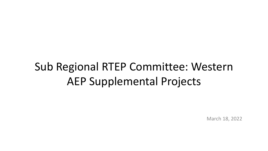# Sub Regional RTEP Committee: Western AEP Supplemental Projects

March 18, 2022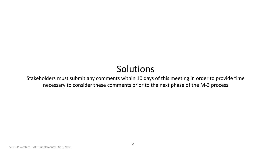# Solutions

Stakeholders must submit any comments within 10 days of this meeting in order to provide time necessary to consider these comments prior to the next phase of the M-3 process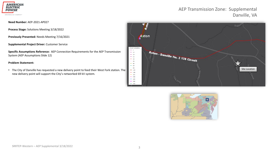

### AEP Transmission Zone: Supplemental Danville, VA

#### **Need Number:** AEP-2021-AP027

**Process Stage:** Solutions Meeting 3/18/2022

**Previously Presented:** Needs Meeting 7/16/2021

**Supplemental Project Driver:** Customer Service

**Specific Assumptions Reference:** AEP Connection Requirements for the AEP Transmission System (AEP Assumptions Slide 12)

#### **Problem Statement:**

• The City of Danville has requested a new delivery point to feed their West Fork station. The new delivery point will support the City's networked 69 kV system.



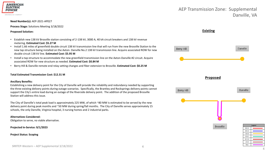

#### **Need Number(s):** AEP-2021-AP027

**Process Stage:** Solutions Meeting 3/18/2022

**Proposed Solution:**

- Establish new 138 kV Brosville station consisting of 2-138 kV, 3000 A, 40 kA circuit breakers and 138 kV revenue metering. **Estimated Cost: \$5.27 M**
- Install 1.66 miles of greenfield double circuit 138 kV transmission line that will run from the new Brosville Station to the new tap structure being installed on the Axton- Danville No.2 138 kV transmission line. Acquire associated ROW for new double circuit 138 kV line. **Estimated Cost: \$5.95 M**
- Install a tap structure to accommodate the new greenfield transmission line on the Axton-Danville #2 circuit. Acquire associated ROW for new structure as needed. **Estimated Cost: \$0.84 M**
- Berry Hill & Danville remote end relay setting changes and fiber extension to Brosville. **Estimated Cost: \$0.25 M**

#### **Total Estimated Transmission Cost: \$12.31 M**

#### **Ancillary Benefits:**

Establishing a new delivery point for the City of Danville will provide the reliability and redundancy needed by supporting the three existing delivery points during outage scenarios. Specifically, the Brantley and Rocksprings delivery points cannot support the City's entire load during an outage of the Riverside delivery point. The addition of the proposed Brosville Station will address this issue.

The City of Danville's total peak load is approximately 225 MW, of which ~80 MW is estimated to be served by the new delivery point during peak months and ~50 MW during spring/fall months. The City of Danville serves approximately 15 schools, the only Danville, Virginia hospital, 3 nursing homes and 2 industrial parks.

#### **Alternatives Considered:**

Obligation to serve, no viable alternative.

**Projected In-Service: 9/1/2023**

**Project Status: Scoping**

### AEP Transmission Zone: Supplemental Danville, VA

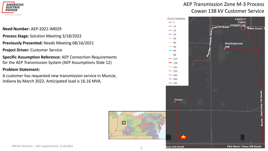

### **Need Number:** AEP-2021-IM029

- **Process Stage:** Solution Meeting 3/18/2022
- **Previously Presented:** Needs Meeting 08/16/2021
- **Project Driver:** Customer Service
- **Specific Assumption Reference:** AEP Connection Requirements for the AEP Transmission System (AEP Assumptions Slide 12)

### **Problem Statement:**

A customer has requested new transmission service in Muncie, Indiana by March 2022. Anticipated load is 16.16 MVA.



# AEP Transmission Zone M-3 Process Cowan 138 kV Customer Service

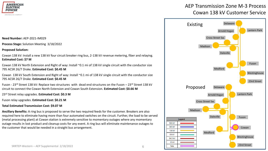

#### **Need Number:** AEP-2021-IM029

**Process Stage:** Solution Meeting 3/18/2022

#### **Proposed Solution:**

Cowan 138 kV: Install a new 138 kV four circuit breaker ring bus, 2-138 kV revenue metering, fiber and relaying. **Estimated Cost: \$7 M**

Cowan 138 kV North Extension and Right of way: Install ~0.1 mi of 138 kV single circuit with the conductor size 795 ACSR 26/7 Drake. **Estimated Cost: \$0.45 M**

Cowan 138 kV South Extension and Right of way: Install ~0.1 mi of 138 kV single circuit with the conductor size 795 ACSR 26/7 Drake. **Estimated Cost: \$0.45 M**

Fuson - 23<sup>rd</sup> Street 138 kV: Replace two structures with dead end structures on the Fuson – 23<sup>rd</sup> Street 138 kV circuit to connect the Cowan North Extension and Cowan South Extension. **Estimated Cost: \$0.66 M**

23rd Street relay upgrades. **Estimated Cost: \$0.3 M**

Fuson relay upgrades. **Estimated Cost: \$0.21 M**

### **Total Estimated Transmission Cost: \$9.07 M**

**Ancillary Benefits:** A ring bus is proposed to serve the two required feeds for the customer. Breakers are also required here to eliminate having more than four automated switches on the circuit. Further, the load to be served (metal processing plant) at Cowan station is extremely sensitive to momentary outages where any momentary outage results in lost product and cleanup costs for any event. A ring bus will eliminate maintenance outages to the customer that would be needed in a straight bus arrangement.

# AEP Transmission Zone M-3 Process Cowan 138 kV Customer Service

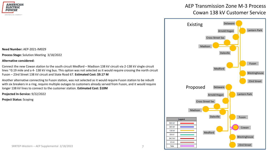

#### **Need Number:** AEP-2021-IM029

**Process Stage:** Solution Meeting 3/18/2022

#### **Alternative considered:**

Connect the new Cowan station to the south circuit Medford – Madison 138 kV circuit via 2-138 kV single circuit lines ~0.19 mile and a 4-138 kV ring bus. This option was not selected as it would require crossing the north circuit Fuson – 23rd Street 138 kV circuit and State Road 67. **Estimated Cost: \$9.17 M**

Another alternative connecting to Fuson station, was not selected as it would require Fuson station to be rebuilt with six breakers in a ring, require multiple outages to customers already served from Fuson, and it would require longer 138 kV lines to connect to the customer station. **Estimated Cost: \$10M**

**Projected In-Service:** 9/22/2022

**Project Status:** Scoping

# AEP Transmission Zone M-3 Process Cowan 138 kV Customer Service

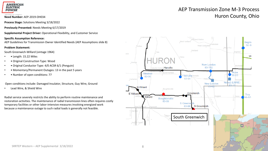

**Process Stage:** Solutions Meeting 3/18/2022

**Previously Presented:** Needs Meeting 6/17/2019

**Supplemental Project Driver:** Operational Flexibility, and Customer Service

#### **Specific Assumption Reference:**

AEP Guidelines for Transmission Owner Identified Needs (AEP Assumptions slide 8)

#### **Problem Statement:**

South Greenwich-Willard (vintage 1964)

- Length: 15.22 Miles
- Original Construction Type: Wood
- Original Conductor Type: 4/0 ACSR 6/1 (Penguin)
- • Momentary/Permanent Outages: 13 in the past 5 years
- • Number of open conditions: 77

Open conditions include: Damaged Insulator, Structure, Guy Wire, Ground

Lead Wire, & Shield Wire

Radial service severely restricts the ability to perform routine maintenance and restoration activities. The maintenance of radial transmission lines often requires costly temporary facilities or other labor-intensive measures involving energized work because a maintenance outage to such radial loads is generally not feasible.

# AEP Transmission Zone M-3 Process **Need Number:** AEP-2019-OH034 **Need Number: AEP-2019-OH034**

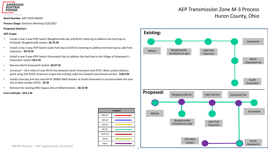

**Process Stage:** Solutions Meeting 3/18/2022

**Proposed Solution:**

#### **AEP Scope:**

- Install a new 3-way POP Switch (Boughtonville Sw) and 69 kV metering to address the hard tap to Firelands' Boughtonville station. **\$0.75 M**
- Install a new 3-way POP Switch (Lake Park Sw) and 69 kV metering to address the hard tap to Lake Park Industries. **\$0.76 M**
- Install a new 3-way POP Switch (Greenwich Sw) to address the hard tap to the Village of Greenwich's Greenwich station **\$0.6 M**
- Remove North Greenwich Switch**. \$0.07 M**
- Construct ~ 10.4 miles of new 69 kV line between South Greenwich and ATSI's New London delivery point using 556 ACSR conductor to give the existing radial line looped transmission service . **\$18.0 M**
- Install a box bay and two new 69 kV 3000A 40kA breaker at South Greenwich to accommodate the new line to New London (ATSI) . **\$3 M**
- Remove the existing 69kV bypass line at Willard station. **\$0.32 M**

#### **Cost estimate: \$23.5 M**

| Legend     |  |  |
|------------|--|--|
| 500 kV     |  |  |
| 345 kV     |  |  |
| 138 kV     |  |  |
| 69 kV      |  |  |
| 34.5 kV    |  |  |
| 23 kV      |  |  |
| <b>New</b> |  |  |

# AEP Transmission Zone M-3 Process Reed Number: AEP-2019-OH034 Need Number: AEP-2019-OH034 Need Number: AEP-2019-OH034 Need Number: AEP-2019-OH034



SRRTEP Western – AEP Supplemental 3/14/2022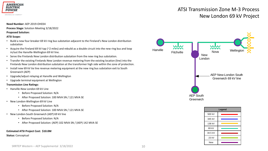

## ATSI Transmission Zone M-3 Process New London 69 kV Project

#### **Need Number:** AEP-2019-OH034

**Process Stage:** Solution Meeting 3/18/2022

#### **Proposed Solution:**

#### **ATSI Scope:**

- Build a new four breaker 69 kV ring bus substation adjacent to the Fireland's New London distribution substation
- Acquire the Fireland 69 kV tap (~2 miles) and rebuild as a double circuit into the new ring bus and loop in/out the Hanville-Wellington 69 kV line.
- Serve the Firelands New London distribution substation from the new ring bus substation.
- Transfer the existing Firelands New London revenue metering from the existing location (line) into the Firelands New London distribution substation at the transformer high side within the zone of protection.
- Install new 69 kV tie line revenue metering equipment at the new ring bus substation exit to South Greenwich (AEP)
- Upgrade/adjust relaying at Hanville and Wellington
- Upgrade terminal equipment at Wellington

#### **Transmission Line Ratings:**

- Hanville-New London 69 kV Line
	- Before Proposed Solution: N/A
	- After Proposed Solution: 100 MVA SN / 121 MVA SE
- New London-Wellington 69 kV Line
	- Before Proposed Solution: N/A
	- After Proposed Solution: 100 MVA SN / 121 MVA SE
- New London-South Greenwich (AEP) 69 kV line
	- Before Proposed Solution: N/A
	- After Proposed Solution: (AEP) 102 MVA SN / (AEP) 142 MVA SE

#### **Estimated ATSI Project Cost: \$10.0M**

#### **Status:** Conceptual





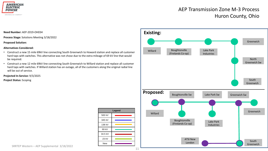

# AEP Transmission Zone M-3 Process Huron County, Ohio

**Need Number:** AEP-2019-OH034

**Process Stage:** Solutions Meeting 3/18/2022

#### **Proposed Solution:**

#### **Alternatives Considered:**

- Construct a new 15 mile 69kV line connecting South Greenwich to Howard station and replace all customer hard taps with switches. This alternative was not chose due to the extra mileage of 69 kV line that would be required.
- Construct a new 12 mile 69kV line connecting South Greenwich to Willard station and replace all customer hard taps with switches. If Willard station has an outage, all of the customers along the original radial line will be out of service.

**Legend**

500 kV 345 kV 138 kV 69 kV 34.5 kV 23 kV New

**Projected In-Service:** 9/3/2025 **Project Status:** Scoping

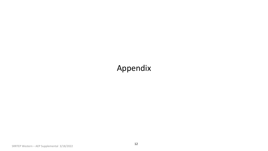# Appendix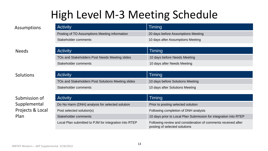# High Level M-3 Meeting Schedule

| Assumptions  | <b>Activity</b>                                | Timing                             |
|--------------|------------------------------------------------|------------------------------------|
|              | Posting of TO Assumptions Meeting information  | 20 days before Assumptions Meeting |
|              | Stakeholder comments                           | 10 days after Assumptions Meeting  |
|              |                                                |                                    |
| <b>Needs</b> | <b>Activity</b>                                | Timing                             |
|              | TOs and Stakeholders Post Needs Meeting slides | 10 days before Needs Meeting       |
|              | Stakeholder comments                           | 10 days after Needs Meeting        |

Activity **Activity Timing** TOs and Stakeholders Post Solutions Meeting slides 10 days before Solutions Meeting Stakeholder comments 10 days after Solutions Meeting

| Submission of            | <b>Activity</b>                                       | Timing                                                                                         |
|--------------------------|-------------------------------------------------------|------------------------------------------------------------------------------------------------|
| Supplemental             | Do No Harm (DNH) analysis for selected solution       | Prior to posting selected solution                                                             |
| Projects & Local<br>Plan | Post selected solution(s)                             | Following completion of DNH analysis                                                           |
|                          | Stakeholder comments                                  | 10 days prior to Local Plan Submission for integration into RTEP                               |
|                          | Local Plan submitted to PJM for integration into RTEP | Following review and consideration of comments received after<br>posting of selected solutions |

**Solutions**